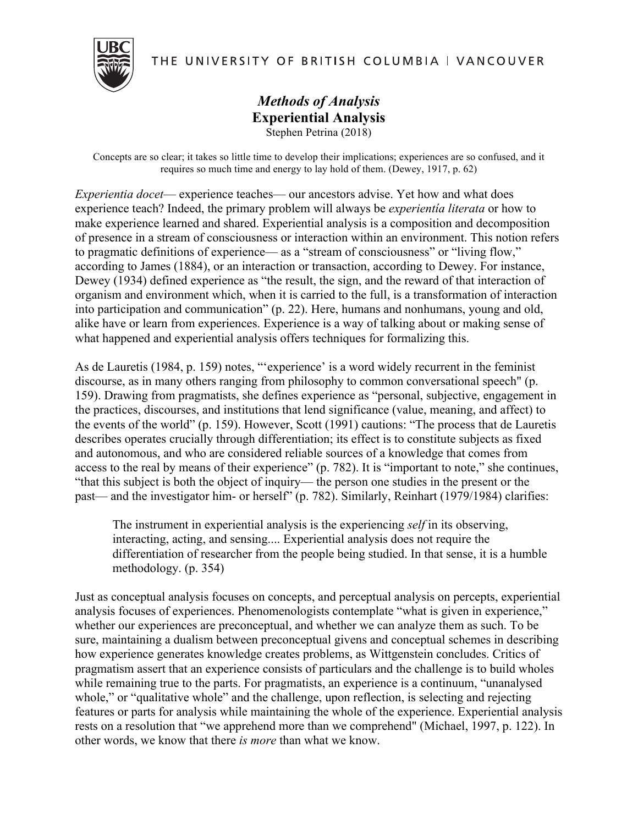THE UNIVERSITY OF BRITISH COLUMBIA | VANCOUVER



## *Methods of Analysis* **Experiential Analysis** Stephen Petrina (2018)

Concepts are so clear; it takes so little time to develop their implications; experiences are so confused, and it requires so much time and energy to lay hold of them. (Dewey, 1917, p. 62)

*Experientia docet*— experience teaches— our ancestors advise. Yet how and what does experience teach? Indeed, the primary problem will always be *experientía literata* or how to make experience learned and shared. Experiential analysis is a composition and decomposition of presence in a stream of consciousness or interaction within an environment. This notion refers to pragmatic definitions of experience— as a "stream of consciousness" or "living flow," according to James (1884), or an interaction or transaction, according to Dewey. For instance, Dewey (1934) defined experience as "the result, the sign, and the reward of that interaction of organism and environment which, when it is carried to the full, is a transformation of interaction into participation and communication" (p. 22). Here, humans and nonhumans, young and old, alike have or learn from experiences. Experience is a way of talking about or making sense of what happened and experiential analysis offers techniques for formalizing this.

As de Lauretis (1984, p. 159) notes, "'experience' is a word widely recurrent in the feminist discourse, as in many others ranging from philosophy to common conversational speech" (p. 159). Drawing from pragmatists, she defines experience as "personal, subjective, engagement in the practices, discourses, and institutions that lend significance (value, meaning, and affect) to the events of the world" (p. 159). However, Scott (1991) cautions: "The process that de Lauretis describes operates crucially through differentiation; its effect is to constitute subjects as fixed and autonomous, and who are considered reliable sources of a knowledge that comes from access to the real by means of their experience" (p. 782). It is "important to note," she continues, "that this subject is both the object of inquiry— the person one studies in the present or the past— and the investigator him- or herself" (p. 782). Similarly, Reinhart (1979/1984) clarifies:

The instrument in experiential analysis is the experiencing *self* in its observing, interacting, acting, and sensing.... Experiential analysis does not require the differentiation of researcher from the people being studied. In that sense, it is a humble methodology. (p. 354)

Just as conceptual analysis focuses on concepts, and perceptual analysis on percepts, experiential analysis focuses of experiences. Phenomenologists contemplate "what is given in experience," whether our experiences are preconceptual, and whether we can analyze them as such. To be sure, maintaining a dualism between preconceptual givens and conceptual schemes in describing how experience generates knowledge creates problems, as Wittgenstein concludes. Critics of pragmatism assert that an experience consists of particulars and the challenge is to build wholes while remaining true to the parts. For pragmatists, an experience is a continuum, "unanalysed whole," or "qualitative whole" and the challenge, upon reflection, is selecting and rejecting features or parts for analysis while maintaining the whole of the experience. Experiential analysis rests on a resolution that "we apprehend more than we comprehend" (Michael, 1997, p. 122). In other words, we know that there *is more* than what we know.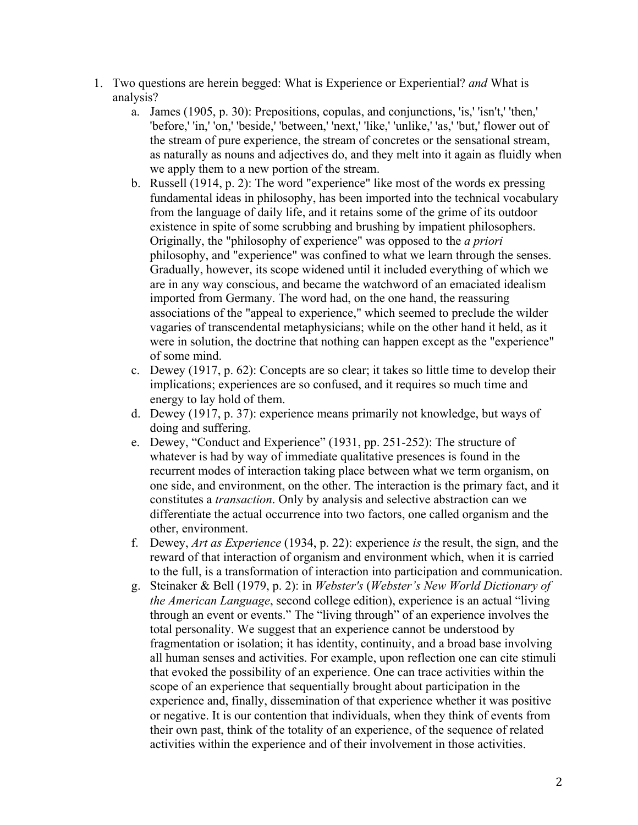- 1. Two questions are herein begged: What is Experience or Experiential? *and* What is analysis?
	- a. James (1905, p. 30): Prepositions, copulas, and conjunctions, 'is,' 'isn't,' 'then,' 'before,' 'in,' 'on,' 'beside,' 'between,' 'next,' 'like,' 'unlike,' 'as,' 'but,' flower out of the stream of pure experience, the stream of concretes or the sensational stream, as naturally as nouns and adjectives do, and they melt into it again as fluidly when we apply them to a new portion of the stream.
	- b. Russell (1914, p. 2): The word "experience" like most of the words ex pressing fundamental ideas in philosophy, has been imported into the technical vocabulary from the language of daily life, and it retains some of the grime of its outdoor existence in spite of some scrubbing and brushing by impatient philosophers. Originally, the "philosophy of experience" was opposed to the *a priori*  philosophy, and "experience" was confined to what we learn through the senses. Gradually, however, its scope widened until it included everything of which we are in any way conscious, and became the watchword of an emaciated idealism imported from Germany. The word had, on the one hand, the reassuring associations of the "appeal to experience," which seemed to preclude the wilder vagaries of transcendental metaphysicians; while on the other hand it held, as it were in solution, the doctrine that nothing can happen except as the "experience" of some mind.
	- c. Dewey (1917, p. 62): Concepts are so clear; it takes so little time to develop their implications; experiences are so confused, and it requires so much time and energy to lay hold of them.
	- d. Dewey (1917, p. 37): experience means primarily not knowledge, but ways of doing and suffering.
	- e. Dewey, "Conduct and Experience" (1931, pp. 251-252): The structure of whatever is had by way of immediate qualitative presences is found in the recurrent modes of interaction taking place between what we term organism, on one side, and environment, on the other. The interaction is the primary fact, and it constitutes a *transaction*. Only by analysis and selective abstraction can we differentiate the actual occurrence into two factors, one called organism and the other, environment.
	- f. Dewey, *Art as Experience* (1934, p. 22): experience *is* the result, the sign, and the reward of that interaction of organism and environment which, when it is carried to the full, is a transformation of interaction into participation and communication.
	- g. Steinaker & Bell (1979, p. 2): in *Webster's* (*Webster's New World Dictionary of the American Language*, second college edition), experience is an actual "living through an event or events." The "living through" of an experience involves the total personality. We suggest that an experience cannot be understood by fragmentation or isolation; it has identity, continuity, and a broad base involving all human senses and activities. For example, upon reflection one can cite stimuli that evoked the possibility of an experience. One can trace activities within the scope of an experience that sequentially brought about participation in the experience and, finally, dissemination of that experience whether it was positive or negative. It is our contention that individuals, when they think of events from their own past, think of the totality of an experience, of the sequence of related activities within the experience and of their involvement in those activities.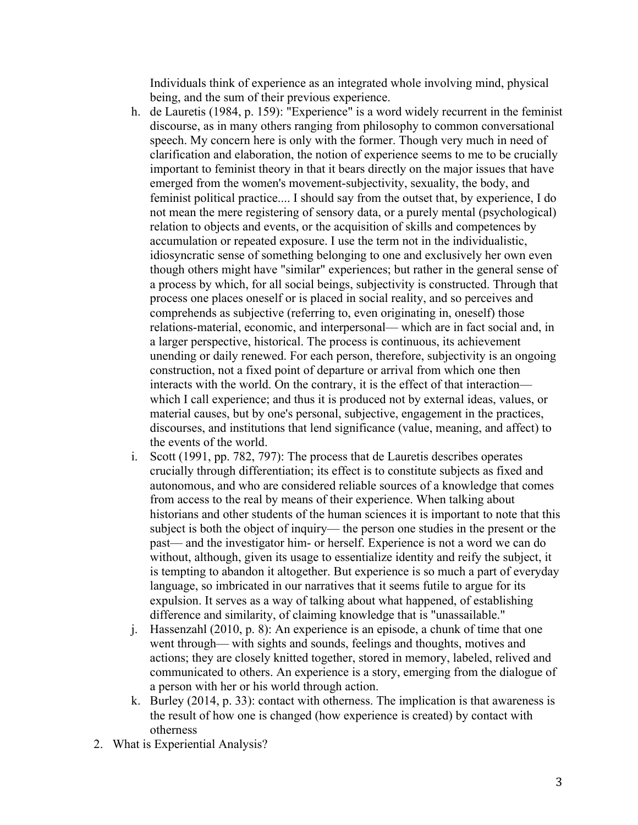Individuals think of experience as an integrated whole involving mind, physical being, and the sum of their previous experience.

- h. de Lauretis (1984, p. 159): "Experience" is a word widely recurrent in the feminist discourse, as in many others ranging from philosophy to common conversational speech. My concern here is only with the former. Though very much in need of clarification and elaboration, the notion of experience seems to me to be crucially important to feminist theory in that it bears directly on the major issues that have emerged from the women's movement-subjectivity, sexuality, the body, and feminist political practice.... I should say from the outset that, by experience, I do not mean the mere registering of sensory data, or a purely mental (psychological) relation to objects and events, or the acquisition of skills and competences by accumulation or repeated exposure. I use the term not in the individualistic, idiosyncratic sense of something belonging to one and exclusively her own even though others might have "similar" experiences; but rather in the general sense of a process by which, for all social beings, subjectivity is constructed. Through that process one places oneself or is placed in social reality, and so perceives and comprehends as subjective (referring to, even originating in, oneself) those relations-material, economic, and interpersonal— which are in fact social and, in a larger perspective, historical. The process is continuous, its achievement unending or daily renewed. For each person, therefore, subjectivity is an ongoing construction, not a fixed point of departure or arrival from which one then interacts with the world. On the contrary, it is the effect of that interaction which I call experience; and thus it is produced not by external ideas, values, or material causes, but by one's personal, subjective, engagement in the practices, discourses, and institutions that lend significance (value, meaning, and affect) to the events of the world.
- i. Scott (1991, pp. 782, 797): The process that de Lauretis describes operates crucially through differentiation; its effect is to constitute subjects as fixed and autonomous, and who are considered reliable sources of a knowledge that comes from access to the real by means of their experience. When talking about historians and other students of the human sciences it is important to note that this subject is both the object of inquiry— the person one studies in the present or the past— and the investigator him- or herself. Experience is not a word we can do without, although, given its usage to essentialize identity and reify the subject, it is tempting to abandon it altogether. But experience is so much a part of everyday language, so imbricated in our narratives that it seems futile to argue for its expulsion. It serves as a way of talking about what happened, of establishing difference and similarity, of claiming knowledge that is "unassailable."
- j. Hassenzahl (2010, p. 8): An experience is an episode, a chunk of time that one went through— with sights and sounds, feelings and thoughts, motives and actions; they are closely knitted together, stored in memory, labeled, relived and communicated to others. An experience is a story, emerging from the dialogue of a person with her or his world through action.
- k. Burley (2014, p. 33): contact with otherness. The implication is that awareness is the result of how one is changed (how experience is created) by contact with otherness
- 2. What is Experiential Analysis?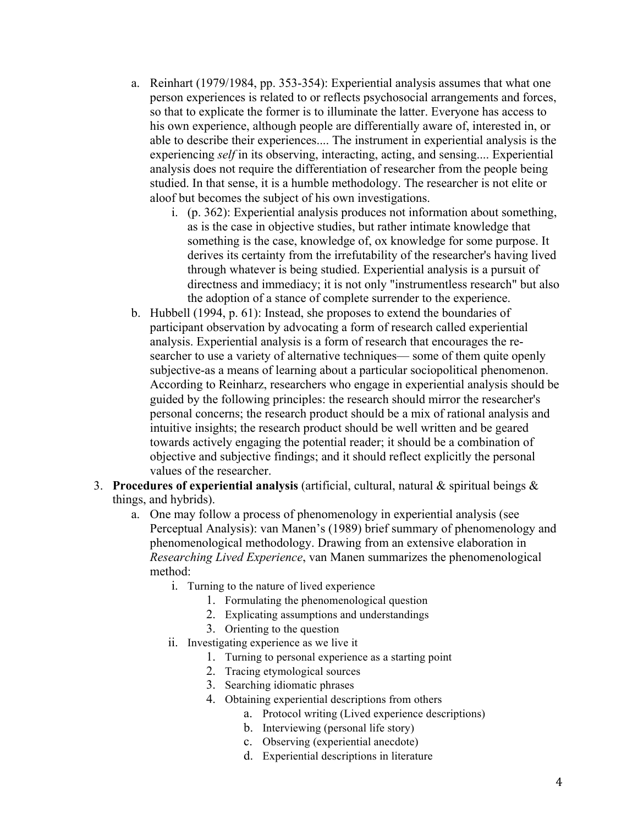- a. Reinhart (1979/1984, pp. 353-354): Experiential analysis assumes that what one person experiences is related to or reflects psychosocial arrangements and forces, so that to explicate the former is to illuminate the latter. Everyone has access to his own experience, although people are differentially aware of, interested in, or able to describe their experiences.... The instrument in experiential analysis is the experiencing *self* in its observing, interacting, acting, and sensing.... Experiential analysis does not require the differentiation of researcher from the people being studied. In that sense, it is a humble methodology. The researcher is not elite or aloof but becomes the subject of his own investigations.
	- i. (p. 362): Experiential analysis produces not information about something, as is the case in objective studies, but rather intimate knowledge that something is the case, knowledge of, ox knowledge for some purpose. It derives its certainty from the irrefutability of the researcher's having lived through whatever is being studied. Experiential analysis is a pursuit of directness and immediacy; it is not only "instrumentless research" but also the adoption of a stance of complete surrender to the experience.
- b. Hubbell (1994, p. 61): Instead, she proposes to extend the boundaries of participant observation by advocating a form of research called experiential analysis. Experiential analysis is a form of research that encourages the researcher to use a variety of alternative techniques— some of them quite openly subjective-as a means of learning about a particular sociopolitical phenomenon. According to Reinharz, researchers who engage in experiential analysis should be guided by the following principles: the research should mirror the researcher's personal concerns; the research product should be a mix of rational analysis and intuitive insights; the research product should be well written and be geared towards actively engaging the potential reader; it should be a combination of objective and subjective findings; and it should reflect explicitly the personal values of the researcher.
- 3. **Procedures of experiential analysis** (artificial, cultural, natural & spiritual beings & things, and hybrids).
	- a. One may follow a process of phenomenology in experiential analysis (see Perceptual Analysis): van Manen's (1989) brief summary of phenomenology and phenomenological methodology. Drawing from an extensive elaboration in *Researching Lived Experience*, van Manen summarizes the phenomenological method:
		- i. Turning to the nature of lived experience
			- 1. Formulating the phenomenological question
			- 2. Explicating assumptions and understandings
			- 3. Orienting to the question
		- ii. Investigating experience as we live it
			- 1. Turning to personal experience as a starting point
			- 2. Tracing etymological sources
			- 3. Searching idiomatic phrases
			- 4. Obtaining experiential descriptions from others
				- a. Protocol writing (Lived experience descriptions)
				- b. Interviewing (personal life story)
				- c. Observing (experiential anecdote)
				- d. Experiential descriptions in literature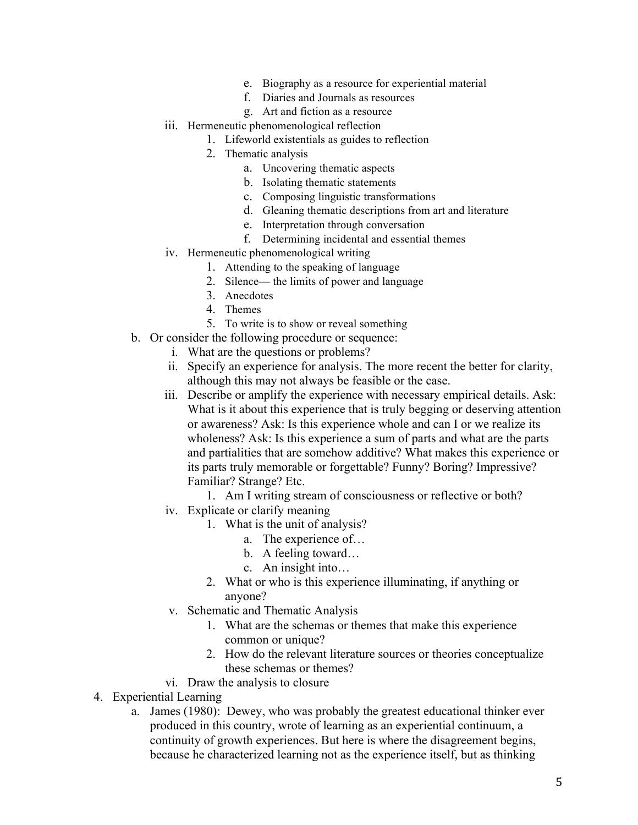- e. Biography as a resource for experiential material
- f. Diaries and Journals as resources
- g. Art and fiction as a resource
- iii. Hermeneutic phenomenological reflection
	- 1. Lifeworld existentials as guides to reflection
	- 2. Thematic analysis
		- a. Uncovering thematic aspects
		- b. Isolating thematic statements
		- c. Composing linguistic transformations
		- d. Gleaning thematic descriptions from art and literature
		- e. Interpretation through conversation
		- f. Determining incidental and essential themes
- iv. Hermeneutic phenomenological writing
	- 1. Attending to the speaking of language
	- 2. Silence— the limits of power and language
	- 3. Anecdotes
	- 4. Themes
	- 5. To write is to show or reveal something
- b. Or consider the following procedure or sequence:
	- i. What are the questions or problems?
	- ii. Specify an experience for analysis. The more recent the better for clarity, although this may not always be feasible or the case.
	- iii. Describe or amplify the experience with necessary empirical details. Ask: What is it about this experience that is truly begging or deserving attention or awareness? Ask: Is this experience whole and can I or we realize its wholeness? Ask: Is this experience a sum of parts and what are the parts and partialities that are somehow additive? What makes this experience or its parts truly memorable or forgettable? Funny? Boring? Impressive? Familiar? Strange? Etc.
		- 1. Am I writing stream of consciousness or reflective or both?
	- iv. Explicate or clarify meaning
		- 1. What is the unit of analysis?
			- a. The experience of…
			- b. A feeling toward…
			- c. An insight into…
		- 2. What or who is this experience illuminating, if anything or anyone?
	- v. Schematic and Thematic Analysis
		- 1. What are the schemas or themes that make this experience common or unique?
		- 2. How do the relevant literature sources or theories conceptualize these schemas or themes?
	- vi. Draw the analysis to closure
- 4. Experiential Learning
	- a. James (1980): Dewey, who was probably the greatest educational thinker ever produced in this country, wrote of learning as an experiential continuum, a continuity of growth experiences. But here is where the disagreement begins, because he characterized learning not as the experience itself, but as thinking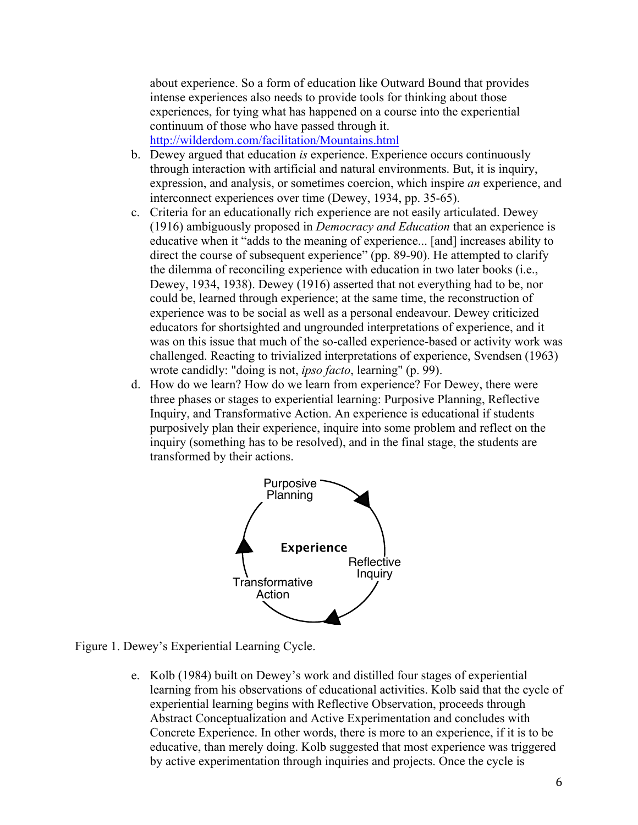about experience. So a form of education like Outward Bound that provides intense experiences also needs to provide tools for thinking about those experiences, for tying what has happened on a course into the experiential continuum of those who have passed through it. http://wilderdom.com/facilitation/Mountains.html

- b. Dewey argued that education *is* experience. Experience occurs continuously through interaction with artificial and natural environments. But, it is inquiry, expression, and analysis, or sometimes coercion, which inspire *an* experience, and interconnect experiences over time (Dewey, 1934, pp. 35-65).
- c. Criteria for an educationally rich experience are not easily articulated. Dewey (1916) ambiguously proposed in *Democracy and Education* that an experience is educative when it "adds to the meaning of experience... [and] increases ability to direct the course of subsequent experience" (pp. 89-90). He attempted to clarify the dilemma of reconciling experience with education in two later books (i.e., Dewey, 1934, 1938). Dewey (1916) asserted that not everything had to be, nor could be, learned through experience; at the same time, the reconstruction of experience was to be social as well as a personal endeavour. Dewey criticized educators for shortsighted and ungrounded interpretations of experience, and it was on this issue that much of the so-called experience-based or activity work was challenged. Reacting to trivialized interpretations of experience, Svendsen (1963) wrote candidly: "doing is not, *ipso facto*, learning" (p. 99).
- d. How do we learn? How do we learn from experience? For Dewey, there were three phases or stages to experiential learning: Purposive Planning, Reflective Inquiry, and Transformative Action. An experience is educational if students purposively plan their experience, inquire into some problem and reflect on the inquiry (something has to be resolved), and in the final stage, the students are transformed by their actions.



Figure 1. Dewey's Experiential Learning Cycle.

e. Kolb (1984) built on Dewey's work and distilled four stages of experiential learning from his observations of educational activities. Kolb said that the cycle of experiential learning begins with Reflective Observation, proceeds through Abstract Conceptualization and Active Experimentation and concludes with Concrete Experience. In other words, there is more to an experience, if it is to be educative, than merely doing. Kolb suggested that most experience was triggered by active experimentation through inquiries and projects. Once the cycle is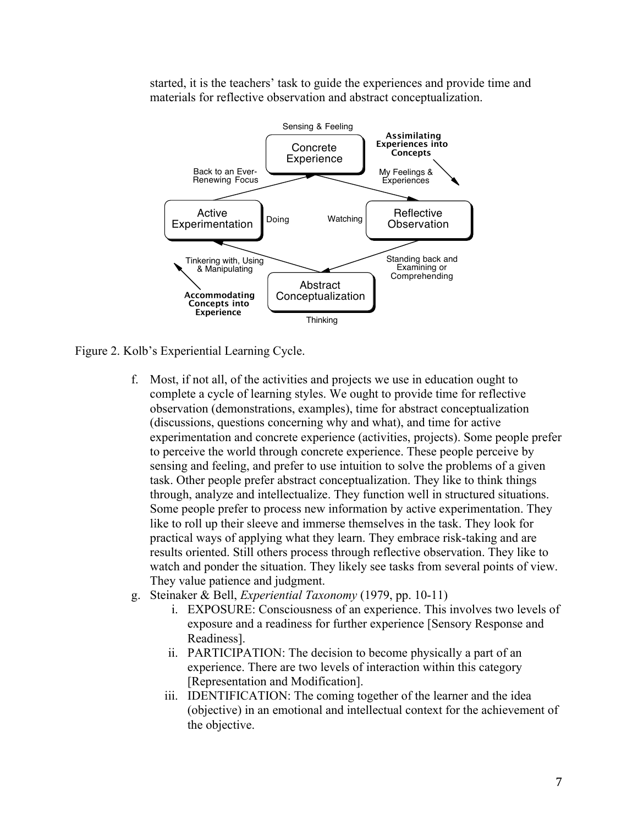started, it is the teachers' task to guide the experiences and provide time and materials for reflective observation and abstract conceptualization.



Figure 2. Kolb's Experiential Learning Cycle.

- f. Most, if not all, of the activities and projects we use in education ought to complete a cycle of learning styles. We ought to provide time for reflective observation (demonstrations, examples), time for abstract conceptualization (discussions, questions concerning why and what), and time for active experimentation and concrete experience (activities, projects). Some people prefer to perceive the world through concrete experience. These people perceive by sensing and feeling, and prefer to use intuition to solve the problems of a given task. Other people prefer abstract conceptualization. They like to think things through, analyze and intellectualize. They function well in structured situations. Some people prefer to process new information by active experimentation. They like to roll up their sleeve and immerse themselves in the task. They look for practical ways of applying what they learn. They embrace risk-taking and are results oriented. Still others process through reflective observation. They like to watch and ponder the situation. They likely see tasks from several points of view. They value patience and judgment.
- g. Steinaker & Bell, *Experiential Taxonomy* (1979, pp. 10-11)
	- i. EXPOSURE: Consciousness of an experience. This involves two levels of exposure and a readiness for further experience [Sensory Response and Readiness].
	- ii. PARTICIPATION: The decision to become physically a part of an experience. There are two levels of interaction within this category [Representation and Modification].
	- iii. IDENTIFICATION: The coming together of the learner and the idea (objective) in an emotional and intellectual context for the achievement of the objective.